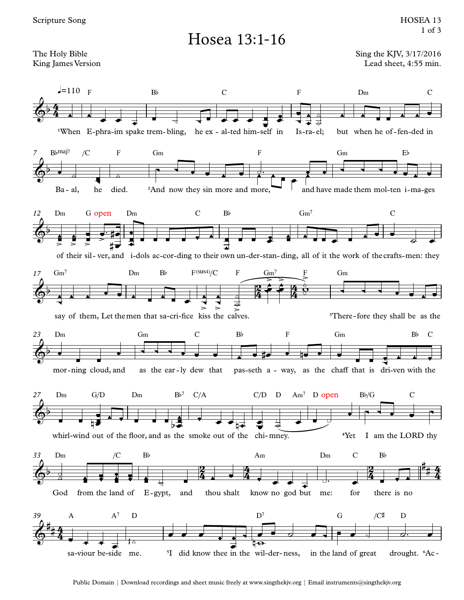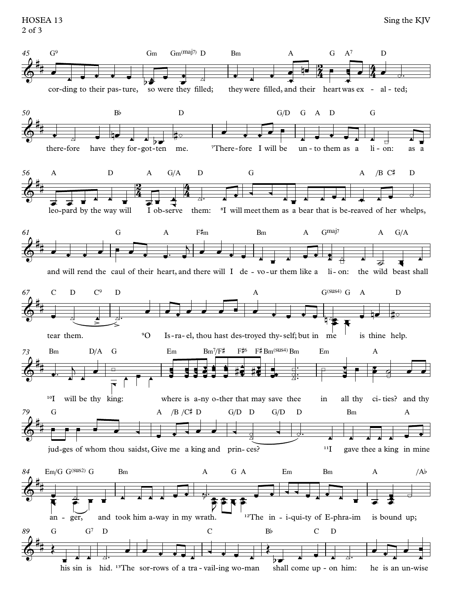